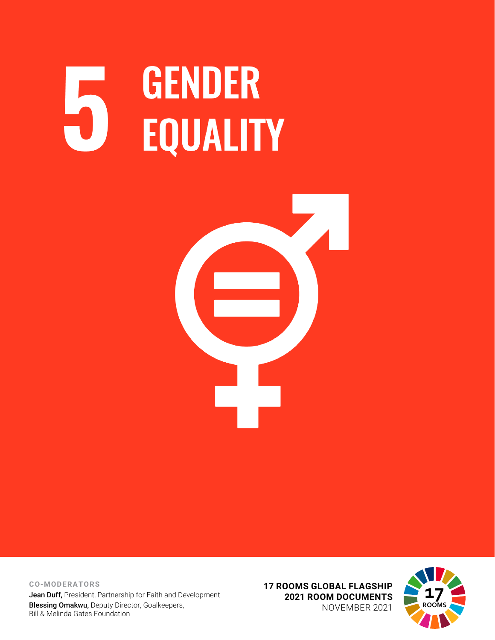# **GENDER** H **EQUALITY**



**CO-MODERATORS** Jean Duff, President, Partnership for Faith and Development Blessing Omakwu, Deputy Director, Goalkeepers, Bill & Melinda Gates Foundation

**17 ROOMS GLOBAL FLAGSHIP 2021 ROOM DOCUMENTS** NOVEMBER 2021

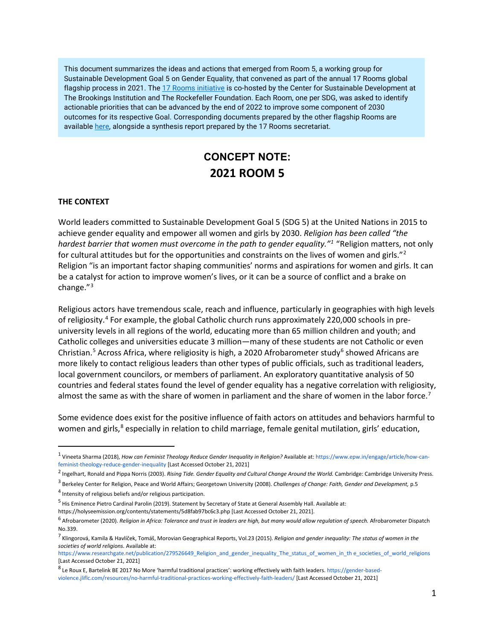This document summarizes the ideas and actions that emerged from Room 5, a working group for Sustainable Development Goal 5 on Gender Equality, that convened as part of the annual 17 Rooms global flagship process in 2021. Th[e 17 Rooms initiative](https://www.brookings.edu/project/17-rooms/) is co-hosted by the Center for Sustainable Development at The Brookings Institution and The Rockefeller Foundation. Each Room, one per SDG, was asked to identify actionable priorities that can be advanced by the end of 2022 to improve some component of 2030 outcomes for its respective Goal. Corresponding documents prepared by the other flagship Rooms are availabl[e here,](http://www.brookings.edu/17rooms2021) alongside a synthesis report prepared by the 17 Rooms secretariat.

# **CONCEPT NOTE: 2021 ROOM 5**

#### **THE CONTEXT**

World leaders committed to Sustainable Development Goal 5 (SDG 5) at the United Nations in 2015 to achieve gender equality and empower all women and girls by 2030. *Religion has been called "the hardest barrier that women must overcome in the path to gender equality."[1](#page-1-0)* "Religion matters, not only for cultural attitudes but for the opportunities and constraints on the lives of women and girls."<sup>[2](#page-1-1)</sup> Religion "is an important factor shaping communities' norms and aspirations for women and girls. It can be a catalyst for action to improve women's lives, or it can be a source of conflict and a brake on change."[3](#page-1-2)

Religious actors have tremendous scale, reach and influence, particularly in geographies with high levels of religiosity.[4](#page-1-3) For example, the global Catholic church runs approximately 220,000 schools in preuniversity levels in all regions of the world, educating more than 65 million children and youth; and Catholic colleges and universities educate 3 million—many of these students are not Catholic or even Christian.<sup>[5](#page-1-4)</sup> Across Africa, where religiosity is high, a 2020 Afrobarometer study<sup>[6](#page-1-5)</sup> showed Africans are more likely to contact religious leaders than other types of public officials, such as traditional leaders, local government councilors, or members of parliament. An exploratory quantitative analysis of 50 countries and federal states found the level of gender equality has a negative correlation with religiosity, almost the same as with the share of women in parliament and the share of women in the labor force.<sup>[7](#page-1-6)</sup>

Some evidence does exist for the positive influence of faith actors on attitudes and behaviors harmful to women and girls,<sup>[8](#page-1-7)</sup> especially in relation to child marriage, female genital mutilation, girls' education,

https://holyseemission.org/contents/statements/5d8fab97bc6c3.php [Last Accessed October 21, 2021].

<span id="page-1-0"></span><sup>&</sup>lt;sup>1</sup> Vineeta Sharma (2018), *How can Feminist Theology Reduce Gender Inequality in Religion?* Available at: https://www.epw.in/engage/article/how-canfeminist-theology-reduce-gender-inequality [Last Accessed October 21, 2021]

<span id="page-1-1"></span><sup>2</sup> Ingelhart, Ronald and Pippa Norris (2003). *Rising Tide. Gender Equality and Cultural Change Around the World.* Cambridge: Cambridge University Press.

<span id="page-1-2"></span><sup>3</sup> Berkeley Center for Religion, Peace and World Affairs; Georgetown University (2008). *Challenges of Change: Faith, Gender and Development,* p.5

<span id="page-1-3"></span><sup>4</sup> Intensity of religious beliefs and/or religious participation.

<span id="page-1-4"></span><sup>&</sup>lt;sup>5</sup> His Eminence Pietro Cardinal Parolin (2019). Statement by Secretary of State at General Assembly Hall. Available at:

<span id="page-1-5"></span><sup>6</sup> Afrobarometer (2020). *Religion in Africa: Tolerance and trust in leaders are high, but many would allow regulation of speech.* Afrobarometer Dispatch No.339.

<span id="page-1-6"></span><sup>7</sup> Klingorová, Kamila & Havlíček, Tomáš, Morovian Geographical Reports, Vol.23 (2015). *Religion and gender inequality: The status of women in the societies of world religions.* Available at:

https://www.researchgate.net/publication/279526649\_Religion\_and\_gender\_inequality\_The\_status\_of\_women\_in\_th e\_societies\_of\_world\_religions [Last Accessed October 21, 2021]

<span id="page-1-7"></span><sup>8</sup> Le Roux E, Bartelink BE 2017 No More 'harmful traditional practices': working effectively with faith leaders[. https://gender-based](https://gender-based-violence.jliflc.com/resources/no-harmful-traditional-practices-working-effectively-faith-leaders/)[violence.jliflc.com/resources/no-harmful-traditional-practices-working-effectively-faith-leaders/](https://gender-based-violence.jliflc.com/resources/no-harmful-traditional-practices-working-effectively-faith-leaders/) [Last Accessed October 21, 2021]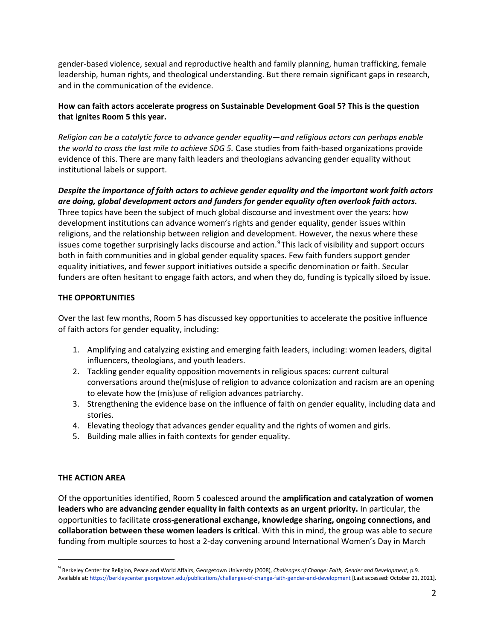gender-based violence, sexual and reproductive health and family planning, human trafficking, female leadership, human rights, and theological understanding. But there remain significant gaps in research, and in the communication of the evidence.

## **How can faith actors accelerate progress on Sustainable Development Goal 5? This is the question that ignites Room 5 this year.**

*Religion can be a catalytic force to advance gender equality*—*and religious actors can perhaps enable the world to cross the last mile to achieve SDG 5.* Case studies from faith-based organizations provide evidence of this. There are many faith leaders and theologians advancing gender equality without institutional labels or support.

*Despite the importance of faith actors to achieve gender equality and the important work faith actors are doing, global development actors and funders for gender equality often overlook faith actors.*  Three topics have been the subject of much global discourse and investment over the years: how development institutions can advance women's rights and gender equality, gender issues within religions, and the relationship between religion and development. However, the nexus where these issues come together surprisingly lacks discourse and action.<sup>[9](#page-2-0)</sup> This lack of visibility and support occurs both in faith communities and in global gender equality spaces. Few faith funders support gender equality initiatives, and fewer support initiatives outside a specific denomination or faith. Secular funders are often hesitant to engage faith actors, and when they do, funding is typically siloed by issue.

## **THE OPPORTUNITIES**

Over the last few months, Room 5 has discussed key opportunities to accelerate the positive influence of faith actors for gender equality, including:

- 1. Amplifying and catalyzing existing and emerging faith leaders, including: women leaders, digital influencers, theologians, and youth leaders.
- 2. Tackling gender equality opposition movements in religious spaces: current cultural conversations around the(mis)use of religion to advance colonization and racism are an opening to elevate how the (mis)use of religion advances patriarchy.
- 3. Strengthening the evidence base on the influence of faith on gender equality, including data and stories.
- 4. Elevating theology that advances gender equality and the rights of women and girls.
- 5. Building male allies in faith contexts for gender equality.

#### **THE ACTION AREA**

Of the opportunities identified, Room 5 coalesced around the **amplification and catalyzation of women leaders who are advancing gender equality in faith contexts as an urgent priority.** In particular, the opportunities to facilitate **cross-generational exchange, knowledge sharing, ongoing connections, and collaboration between these women leaders is critical**. With this in mind, the group was able to secure funding from multiple sources to host a 2-day convening around International Women's Day in March

<span id="page-2-0"></span><sup>9</sup> Berkeley Center for Religion, Peace and World Affairs, Georgetown University (2008), *Challenges of Change: Faith, Gender and Development,* p.9. Available at: https://berkleycenter.georgetown.edu/publications/challenges-of-change-faith-gender-and-development [Last accessed: October 21, 2021].